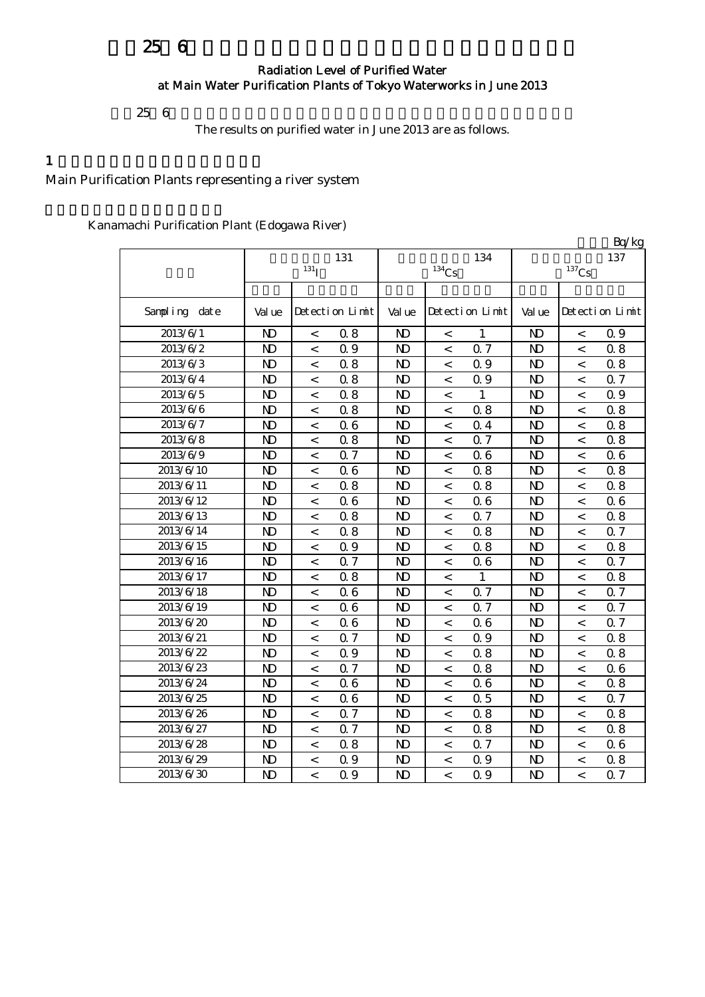# 25 6

#### Radiation Level of Purified Water at Main Water Purification Plants of Tokyo Waterworks in June 2013

 $256$ 

The results on purified water in June 2013 are as follows.

#### $1$

## Main Purification Plants representing a river system

#### Kanamachi Purification Plant (Edogawa River)

|               |                         |                          |                 |                |                     |                 |                            |                          | Bq/kg           |
|---------------|-------------------------|--------------------------|-----------------|----------------|---------------------|-----------------|----------------------------|--------------------------|-----------------|
|               | 131<br>131 <sub>1</sub> |                          |                 |                | $^{134}\mathrm{Cs}$ | 134             | 137<br>$^{137}\mathrm{Cs}$ |                          |                 |
|               |                         |                          |                 |                |                     |                 |                            |                          |                 |
| Sampling date | Val ue                  |                          | Detection Limit | Val ue         |                     | Detection Limit | Val ue                     |                          | Detection Limit |
| 2013/6/1      | $\mathbf{N}$            | $\,<\,$                  | 0.8             | $\mathbf{N}$   | $\,<\,$             | 1               | N <sub>D</sub>             | $\,<\,$                  | Q 9             |
| 2013/6/2      | $\mathbf{D}$            | $\overline{\phantom{a}}$ | 0.9             | N <sub>D</sub> | $\,<\,$             | 0.7             | N <sub>D</sub>             | $\,<\,$                  | 0.8             |
| 2013/6/3      | $\mathbf{N}$            | $\overline{<}$           | 0.8             | N <sub>D</sub> | $\,<\,$             | 0.9             | N <sub>D</sub>             | $\,<$                    | 0.8             |
| 2013/6/4      | $\mathbf{D}$            | $\,<\,$                  | 0.8             | N <sub>D</sub> | $\,<\,$             | 0.9             | N <sub>D</sub>             | $\,<$                    | Q 7             |
| 2013/6/5      | $\mathbf{D}$            | $\,<\,$                  | 0.8             | N <sub>D</sub> | $\,<\,$             | $\mathbf{1}$    | N <sub>D</sub>             | $\,<\,$                  | 0.9             |
| 2013/6/6      | $\mathbf{N}$            | $\,<$                    | 0.8             | $\mathbf{N}$   | $\,<$               | 0.8             | N <sub>D</sub>             | $\,<$                    | 0.8             |
| 2013/6/7      | $\mathbf{D}$            | $\,<$                    | 06              | N <sub>D</sub> | $\,<\,$             | 0.4             | N <sub>D</sub>             | $\,<\,$                  | 0.8             |
| 2013/6/8      | $\mathbf{D}$            | $\,<\,$                  | 0.8             | N <sub>D</sub> | $\,<\,$             | 0.7             | N <sub>D</sub>             | $\,<\,$                  | 0.8             |
| 2013/6/9      | $\mathbf{D}$            | $\overline{\phantom{a}}$ | 0.7             | N <sub>D</sub> | $\,<\,$             | 0.6             | $\mathbf{N}$               | $\,<\,$                  | 06              |
| 2013/6/10     | $\mathbf{D}$            | $\overline{<}$           | 06              | N <sub>D</sub> | $\,<\,$             | 0.8             | $\mathbf{N}$               | $\,<$                    | 0.8             |
| 2013/6/11     | $\mathbf{D}$            | $\,<\,$                  | 0.8             | $\mathbf{N}$   | $\,<\,$             | 0.8             | $\mathbf{N}$               | $\,<$                    | 0.8             |
| 2013/6/12     | N <sub>D</sub>          | $\,<\,$                  | 06              | N <sub>D</sub> | $\,<\,$             | 0.6             | $\mathbf{N}$               | $\,<$                    | 06              |
| 2013/6/13     | $\mathbf{D}$            | $\,<$                    | 0.8             | N <sub>D</sub> | $\prec$             | 0.7             | N <sub>D</sub>             | $\overline{\phantom{a}}$ | 0.8             |
| 2013/6/14     | $\mathbf{N}$            | $\overline{\phantom{a}}$ | 0.8             | N <sub>D</sub> | $\,<\,$             | 0.8             | N <sub>D</sub>             | $\overline{\phantom{a}}$ | Q 7             |
| 2013/6/15     | $\mathbf{D}$            | $\,<\,$                  | 0.9             | N <sub>D</sub> | $\,<\,$             | 0.8             | N <sub>D</sub>             | $\,<\,$                  | 0.8             |
| 2013/6/16     | $\mathbf{N}$            | $\,<\,$                  | 0.7             | N <sub>D</sub> | $\,<\,$             | 0.6             | N <sub>D</sub>             | $\lt$                    | 0.7             |
| 2013/6/17     | $\mathbf{N}$            | $\,<$                    | 0.8             | N <sub>D</sub> | $\,<$               | 1               | N <sub>D</sub>             | $\,<\,$                  | 0.8             |
| 2013/6/18     | $\mathbf{D}$            | $\,<\,$                  | 06              | $\mathbf{N}$   | $\,<\,$             | 0.7             | N <sub>D</sub>             | $\,<\,$                  | 0.7             |
| 2013/6/19     | $\mathbf{N}$            | $\,<\,$                  | 06              | N <sub>D</sub> | $\,<$               | 0.7             | N <sub>D</sub>             | $\,<\,$                  | 0.7             |
| 2013/6/20     | N <sub>D</sub>          | $\,<\,$                  | 06              | N <sub>D</sub> | $\,<\,$             | 0.6             | N <sub>D</sub>             | $\,<$                    | Q <sub>7</sub>  |
| 2013/6/21     | $\mathbf{D}$            | $\,<\,$                  | 0.7             | N <sub>D</sub> | $\,<\,$             | 0.9             | N <sub>D</sub>             | $\,<\,$                  | 0.8             |
| 2013/6/22     | $\mathbf{D}$            | $\,<\,$                  | 0.9             | N <sub>D</sub> | $\,<\,$             | 0.8             | N <sub>D</sub>             | $\,<\,$                  | 0.8             |
| 2013/6/23     | N <sub>D</sub>          | $\,<\,$                  | 0.7             | N <sub>D</sub> | $\,<\,$             | 0.8             | N <sub>D</sub>             | $\,<$                    | 06              |
| 2013/6/24     | N <sub>D</sub>          | $\,<\,$                  | 06              | N <sub>D</sub> | $\,<\,$             | 0.6             | N <sub>D</sub>             | $\lt$                    | 0.8             |
| 2013/6/25     | $\mathbf{D}$            | $\,<\,$                  | 06              | N <sub>D</sub> | $\,<\,$             | 0.5             | N <sub>D</sub>             | $\,<\,$                  | 0.7             |
| 2013/6/26     | N <sub>D</sub>          | $\,<\,$                  | 0.7             | N)             | $\,<\,$             | 0.8             | N)                         | $\,<$                    | 0.8             |
| 2013/6/27     | N <sub>D</sub>          | $\overline{a}$           | 0.7             | N)             | $\,<\,$             | 0.8             | N <sub>D</sub>             | $\overline{a}$           | 0.8             |
| 2013/6/28     | N <sub>D</sub>          | $\lt$                    | 0.8             | N)             | $\lt$               | 0.7             | N <sub>D</sub>             | $\lt$                    | 06              |
| 2013/6/29     | N <sub>D</sub>          | $\,<$                    | 0.9             | N <sub>D</sub> | $\,<$               | 0.9             | N <sub>D</sub>             | $\,<\,$                  | 0.8             |
| 2013/6/30     | N <sub>D</sub>          | $\overline{<}$           | Q 9             | N <sub>D</sub> | $\lt$               | 0.9             | N <sub>D</sub>             | $\lt$                    | Q 7             |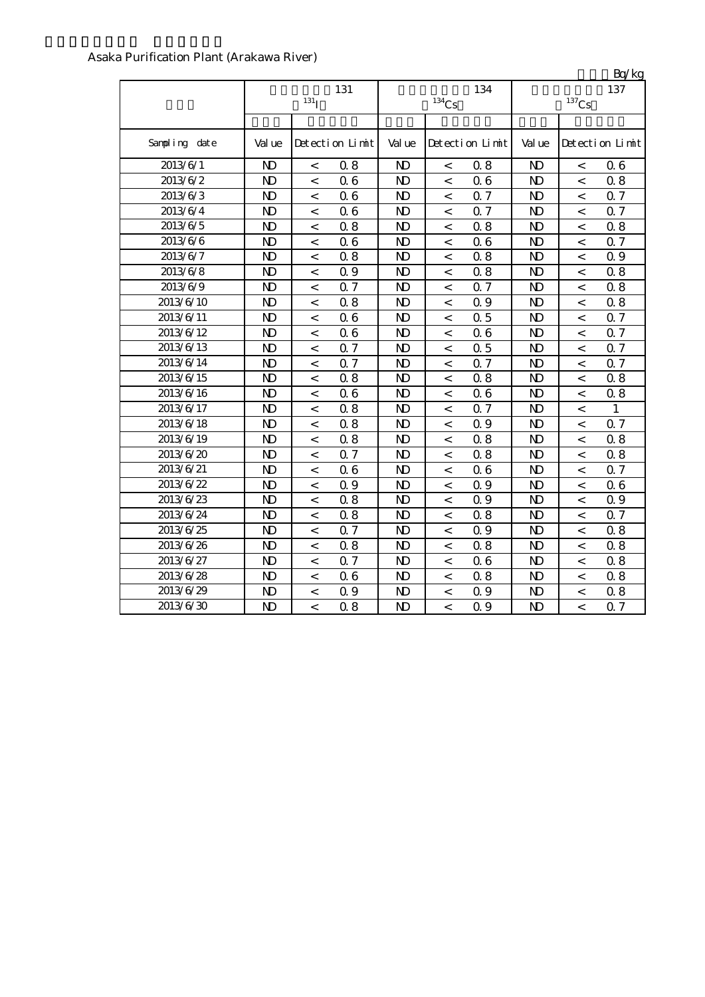#### Asaka Purification Plant (Arakawa River)

|               | 131<br>131 <sub>T</sub> |                          |                 |                | $^{134}\mathrm{Cs}$      | 134             | $L_V$ $R_S$<br>137<br>$^{137}\mathrm{Cs}$ |                          |                 |
|---------------|-------------------------|--------------------------|-----------------|----------------|--------------------------|-----------------|-------------------------------------------|--------------------------|-----------------|
| Sampling date | Val ue                  |                          | Detection Limit | Val ue         |                          | Detection Limit | Val ue                                    |                          | Detection Limit |
| 2013/6/1      | N <sub>D</sub>          | $\,<$                    | 0.8             | N <sub>D</sub> | $\,<$                    | 0.8             | $\mathbf{N}$                              | $\,<$                    | 06              |
| 2013/6/2      | N <sub>D</sub>          | $\,<\,$                  | 06              | N <sub>D</sub> | $\,<\,$                  | 0.6             | $\mathbf{N}$                              | $\,<\,$                  | 0.8             |
| 2013/6/3      | N <sub>D</sub>          | $\,<\,$                  | 06              | N <sub>D</sub> | $\,<\,$                  | 0.7             | $\mathbf{N}$                              | $\overline{\phantom{a}}$ | 0.7             |
| 2013/6/4      | N <sub>D</sub>          | $\,<\,$                  | 06              | ND             | $\,<\,$                  | 0.7             | $\mathbf{N}$                              | $\,<\,$                  | 0.7             |
| 2013/6/5      | N <sub>D</sub>          | $\overline{\phantom{a}}$ | 0.8             | $\mathbf{N}$   | $\overline{<}$           | 0.8             | N <sub>D</sub>                            | $\overline{<}$           | 0.8             |
| 2013/6/6      | $\mathbf{D}$            | $\,<\,$                  | 06              | $\mathbf{D}$   | $\,<$                    | 0.6             | N <sub>D</sub>                            | $\,<$                    | 0.7             |
| 2013/6/7      | N <sub>D</sub>          | $\,<\,$                  | 0.8             | $\mathbf{D}$   | $\,<$                    | 0.8             | N <sub>D</sub>                            | $\,<\,$                  | 0.9             |
| 2013/6/8      | $\mathbf{D}$            | $\,<$                    | Q 9             | $\mathbf{D}$   | $\,<\,$                  | 0.8             | $\mathbf{N}$                              | $\,<$                    | 0.8             |
| 2013/6/9      | N <sub>D</sub>          | $\,<\,$                  | 0.7             | N <sub>D</sub> | $\,<\,$                  | 0.7             | N <sub>D</sub>                            | $\,<\,$                  | 0.8             |
| 2013/6/10     | N <sub>D</sub>          | $\,<\,$                  | 0.8             | N <sub>D</sub> | $\,<$                    | 0.9             | $\mathbf{D}$                              | $\,<\,$                  | 0.8             |
| 2013/6/11     | $\mathbf{D}$            | $\,<$                    | 06              | N <sub>D</sub> | $\,<\,$                  | 0.5             | N <sub>D</sub>                            | $\,<\,$                  | 0.7             |
| 2013/6/12     | $\mathbf{D}$            | $\,<\,$                  | 06              | N <sub>D</sub> | $\,<$                    | 0.6             | $\mathbf{N}$                              | $\,<\,$                  | 0.7             |
| 2013/6/13     | $\mathbf{D}$            | $\,<\,$                  | 0.7             | $\mathbf{D}$   | $\,<\,$                  | 0.5             | N <sub>D</sub>                            | $\overline{\phantom{a}}$ | 0.7             |
| 2013/6/14     | N <sub>D</sub>          | $\,<\,$                  | 0.7             | ND             | $\,<\,$                  | 0.7             | N <sub>D</sub>                            | $\,<\,$                  | 0.7             |
| 2013/6/15     | N <sub>D</sub>          | $\overline{<}$           | 0.8             | N <sub>D</sub> | $\overline{<}$           | 0.8             | $\overline{D}$                            | $\overline{a}$           | 0.8             |
| 2013/6/16     | $\mathbf{D}$            | $\,<\,$                  | 06              | N <sub>D</sub> | $\,<$                    | 0.6             | $\mathbf{D}$                              | $\,<\,$                  | 0.8             |
| 2013/6/17     | $\mathbf{D}$            | $\,<\,$                  | 0.8             | $\mathbf{N}$   | $\,<\,$                  | 0.7             | $\mathbf{N}$                              | $\,<$                    | 1               |
| 2013/6/18     | $\mathbf{D}$            | $\,<\,$                  | 0.8             | $\mathbf{N}$   | $\,<\,$                  | 0.9             | $\mathbf{N}$                              | $\,<\,$                  | 0.7             |
| 2013/6/19     | N <sub>D</sub>          | $\,<\,$                  | 0.8             | $\mathbf{N}$   | $\,<\,$                  | 0.8             | N <sub>D</sub>                            | $\,<\,$                  | 0.8             |
| 2013/6/20     | $\mathbf{D}$            | $\,<$                    | Q 7             | N <sub>D</sub> | $\,<$                    | 0.8             | $\mathbf{N}$                              | $\overline{a}$           | 0.8             |
| 2013/6/21     | N <sub>D</sub>          | $\,<\,$                  | 06              | N <sub>D</sub> | $\,<\,$                  | 0.6             | N <sub>D</sub>                            | $\,<\,$                  | 0.7             |
| 2013/6/22     | $\mathbf{D}$            | $\,<$                    | Q 9             | $\mathbf{N}$   | $\,<\,$                  | Q 9             | $\mathbf{D}$                              | $\prec$                  | 06              |
| 2013/6/23     | N <sub>D</sub>          | $\,<\,$                  | 0.8             | $\mathbf{D}$   | $\,<\,$                  | 0.9             | N <sub>D</sub>                            | $\overline{\phantom{a}}$ | 0.9             |
| 2013/6/24     | N <sub>D</sub>          | $\overline{\phantom{a}}$ | $0.8\,$         | $\mathbf{N}$   | $\overline{<}$           | 0.8             | N <sub>D</sub>                            | $\,<$                    | 0.7             |
| 2013/6/25     | $\mathbf{D}$            | $\,<\,$                  | 0.7             | $\mathbf{D}$   | $\overline{\phantom{a}}$ | Q 9             | $\mathbf{N}$                              | $\,<$                    | 0.8             |
| 2013/6/26     | N <sub>D</sub>          | $\,<\,$                  | 0.8             | $\mathbf{D}$   | $\,<$                    | 0.8             | N <sub>D</sub>                            | $\,<\,$                  | 0.8             |
| 2013/6/27     | $\mathbf{D}$            | $\,<\,$                  | 0.7             | $\mathbf{D}$   | $\,<\,$                  | 0.6             | $\mathbf{N}$                              | $\,<\,$                  | 0.8             |
| 2013/6/28     | N <sub>D</sub>          | $\,<\,$                  | 06              | N <sub>D</sub> | $\,<\,$                  | 0.8             | N)                                        | $\,<\,$                  | 0.8             |
| 2013/6/29     | $\mathbf{D}$            | $\,<\,$                  | 0.9             | $\mathbf{N}$   | $\,<$                    | Q 9             | $\mathbf{N}$                              | $\,<$                    | 0.8             |
| 2013/6/30     | $\mathbf{D}$            | $\,<\,$                  | 0.8             | N <sub>D</sub> | $\,<\,$                  | Q 9             | N <sub>D</sub>                            | $\,<$                    | 0.7             |

 $Rn/kg$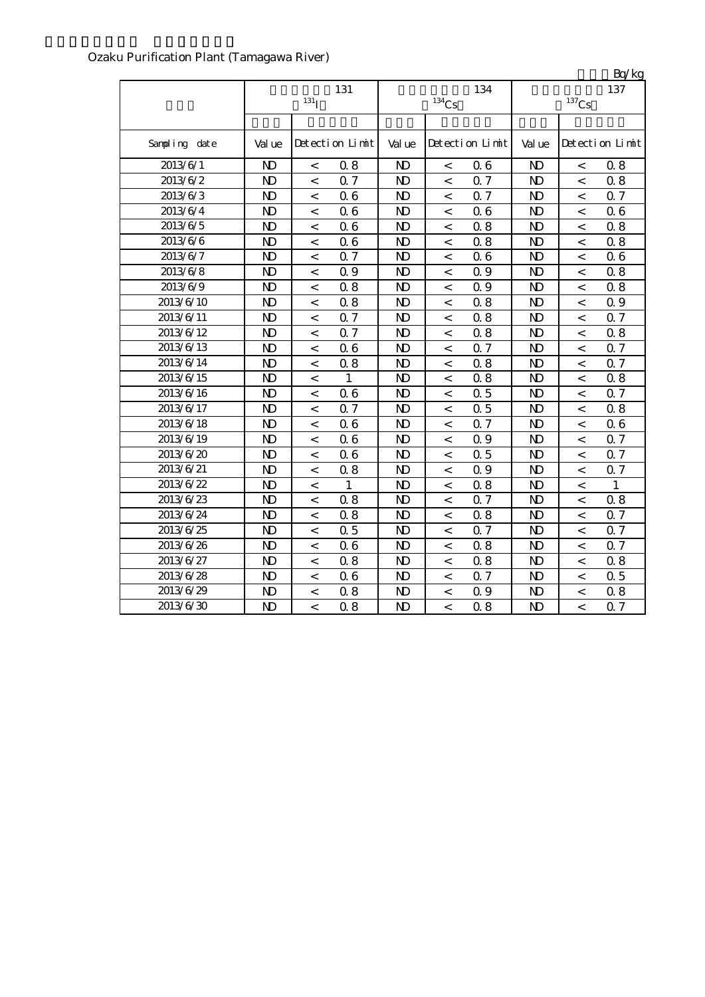| Ozaku Purification Plant (Tamagawa River) |  |
|-------------------------------------------|--|
|-------------------------------------------|--|

|                       |                | 131<br>131 <sub>T</sub>  |                 |                | 134<br>$^{134}\mathrm{Cs}$ |                 |                | $\mathbf{L}$<br>137<br>$^{137}\mathrm{Cs}$ |                 |  |
|-----------------------|----------------|--------------------------|-----------------|----------------|----------------------------|-----------------|----------------|--------------------------------------------|-----------------|--|
| Sampling date         | Val ue         |                          | Detection Limit | Val ue         |                            | Detection Limit | Val ue         |                                            | Detection Limit |  |
| 2013/6/1              | $\mathbf{D}$   | $\,<$                    | 0.8             | $\mathbf{N}$   | $\,<$                      | 0.6             | N <sub>D</sub> | $\,<$                                      | 0.8             |  |
| 2013/6/2              | $\mathbf{D}$   | $\,<\,$                  | 0.7             | $\mathbf{N}$   | $\,<\,$                    | 0.7             | N <sub>D</sub> | $\,<$                                      | 0.8             |  |
| 2013/6/3              | $\mathbf{D}$   | $\,<\,$                  | 06              | $\mathbf{D}$   | $\,<\,$                    | 0.7             | N <sub>D</sub> | $\,<$                                      | 0.7             |  |
| 2013/6/4              | $\mathbf{N}$   | $\overline{a}$           | 06              | N <sub>D</sub> | $\overline{a}$             | 0.6             | N <sub>D</sub> | $\,<$                                      | 06              |  |
| 2013/6/5              | N <sub>D</sub> | $\,<\,$                  | 06              | $\mathbf{N}$   | $\,<$                      | 0.8             | N <sub>D</sub> | $\lt$                                      | 0.8             |  |
| $2013/6/\overline{6}$ | $\mathbf{D}$   | $\,<\,$                  | 06              | $\mathbf{D}$   | $\,<$                      | 0.8             | N <sub>D</sub> | $\,<\,$                                    | 0.8             |  |
| 2013/6/7              | $\mathbf{N}$   | $\,<$                    | 0.7             | $\mathbf{N}$   | $\,<$                      | 0.6             | N <sub>D</sub> | $\,<$                                      | 06              |  |
| 2013/6/8              | N <sub>D</sub> | $\,<\,$                  | 0.9             | N <sub>D</sub> | $\,<$                      | 0.9             | N <sub>D</sub> | $\,<$                                      | 0.8             |  |
| 2013/6/9              | $\mathbf{N}$   | $\,<\,$                  | 0.8             | N <sub>D</sub> | $\,<\,$                    | Q 9             | N <sub>D</sub> | $\,<$                                      | 0.8             |  |
| 2013/6/10             | $\mathbf{N}$   | $\,<\,$                  | 0.8             | N <sub>D</sub> | $\,<\,$                    | 0.8             | N <sub>D</sub> | $\,<$                                      | 0.9             |  |
| 2013/6/11             | $\mathbf{D}$   | $\,<\,$                  | 0.7             | $\mathbf{N}$   | $\,<$                      | 0.8             | N <sub>D</sub> | $\,<$                                      | Q 7             |  |
| 2013/6/12             | $\mathbf{D}$   | $\,<\,$                  | 0.7             | N)             | $\,<\,$                    | 0.8             | N <sub>D</sub> | $\,<\,$                                    | 0.8             |  |
| 2013/6/13             | $\mathbf{N}$   | $\,<\,$                  | 06              | N <sub>D</sub> | $\,<\,$                    | 0.7             | N <sub>D</sub> | $\,<$                                      | Q 7             |  |
| 2013/6/14             | N <sub>D</sub> | $\lt$                    | 0.8             | $\mathbf{N}$   | $\lt$                      | 0.8             | N <sub>D</sub> | $\lt$                                      | 0.7             |  |
| 2013/6/15             | $\mathbf{D}$   | $\,<\,$                  | 1               | N <sub>D</sub> | $\,<\,$                    | 0.8             | $\mathbf{N}$   | $\,<\,$                                    | 0.8             |  |
| 2013/6/16             | $\mathbf{N}$   | $\,<$                    | 06              | N <sub>D</sub> | $\,<\,$                    | 0.5             | N <sub>D</sub> | $\,<$                                      | 0.7             |  |
| 2013/6/17             | N <sub>D</sub> | $\,<$                    | 0.7             | N <sub>D</sub> | $\,<$                      | 0.5             | N <sub>D</sub> | $\,<$                                      | 0.8             |  |
| 2013/6/18             | $\mathbf{N}$   | $\,<\,$                  | 06              | N <sub>D</sub> | $\,<\,$                    | 0.7             | N <sub>D</sub> | $\,<\,$                                    | 06              |  |
| 2013/6/19             | $\mathbf{D}$   | $\,<\,$                  | 06              | N <sub>D</sub> | $\,<\,$                    | Q 9             | N <sub>D</sub> | $\,<$                                      | 0.7             |  |
| 2013/6/20             | $\mathbf{D}$   | $\overline{a}$           | 06              | N <sub>D</sub> | $\,<$                      | 0.5             | N <sub>D</sub> | $\,<$                                      | 0.7             |  |
| 2013/6/21             | $\mathbf{N}$   | $\,<\,$                  | 0.8             | $\mathbf{D}$   | $\,<\,$                    | Q 9             | N <sub>D</sub> | $\,<$                                      | 0.7             |  |
| 2013/6/22             | N <sub>D</sub> | $\,<\,$                  | 1               | N <sub>D</sub> | $\,<$                      | 0.8             | N)             | $\,<$                                      | 1               |  |
| 2013/6/23             | N <sub>D</sub> | $\overline{\phantom{a}}$ | 0.8             | $\mathbf{N}$   | $\lt$                      | 0.7             | N <sub>D</sub> | $\lt$                                      | 0.8             |  |
| 2013/6/24             | $\mathbf{D}$   | $\,<\,$                  | 0.8             | $\mathbf{D}$   | $\,<\,$                    | 0.8             | N <sub>D</sub> | $\,<$                                      | 0.7             |  |
| 2013/6/25             | $\mathbf{D}$   | $\,<\,$                  | 0.5             | $\mathbf{N}$   | $\,<$                      | 0.7             | N <sub>D</sub> | $\,<\,$                                    | 0.7             |  |
| 2013/6/26             | $\mathbf{D}$   | $\,<\,$                  | 06              | N <sub>D</sub> | $\,<\,$                    | 0.8             | N)             | $\,<\,$                                    | 0.7             |  |
| 2013/6/27             | $\mathbf{D}$   | $\,<\,$                  | 0.8             | $\mathbf{D}$   | $\,<\,$                    | 0.8             | N <sub>D</sub> | $\,<$                                      | 0.8             |  |
| 2013/6/28             | $\mathbf{D}$   | $\,<\,$                  | 06              | N <sub>D</sub> | $\,<\,$                    | 0.7             | N <sub>D</sub> | $\,<$                                      | 0.5             |  |
| 2013/6/29             | $\mathbf{D}$   | $\,<$                    | 0.8             | N <sub>D</sub> | $\,<$                      | 0.9             | N <sub>D</sub> | $\,<$                                      | 0.8             |  |
| 2013/6/30             | $\mathbf{N}$   | $\lt$                    | 0.8             | $\mathbf{N}$   | $\lt$                      | 0.8             | N <sub>D</sub> | $\,<\,$                                    | 0.7             |  |

 $R_1/k_2$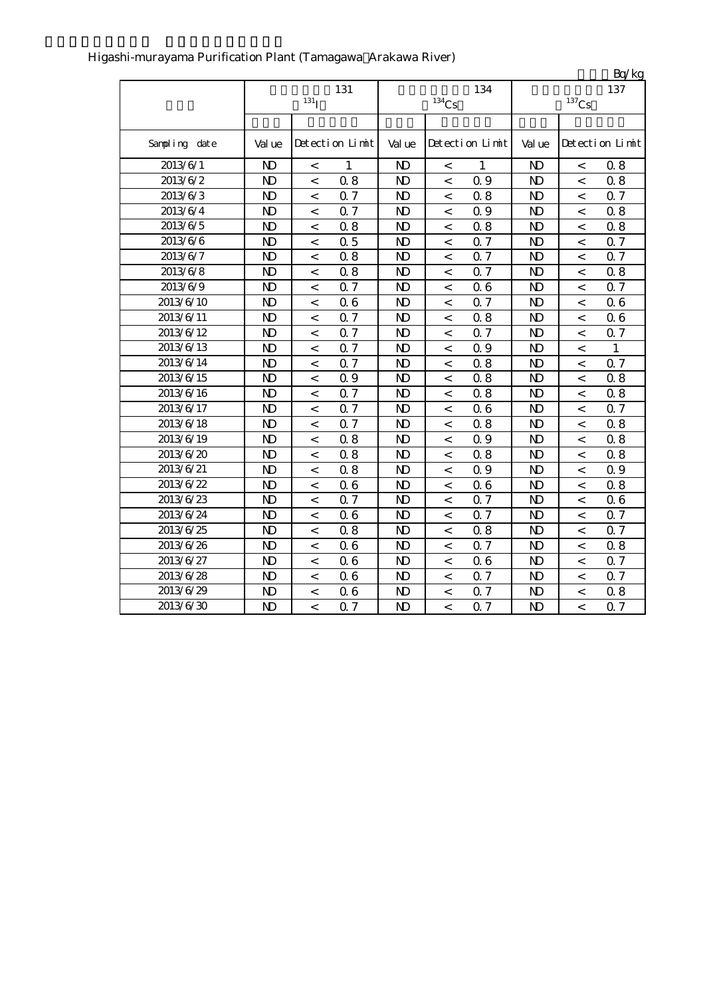|               |                |                  |                 |                |                     |                 |                |                          | Bq/kg           |
|---------------|----------------|------------------|-----------------|----------------|---------------------|-----------------|----------------|--------------------------|-----------------|
|               |                |                  | 131             |                |                     | 134             |                |                          | 137             |
|               |                | 131 <sub>I</sub> |                 |                | $^{134}\mathrm{Cs}$ |                 |                | $^{137}\mathrm{Cs}$      |                 |
|               |                |                  |                 |                |                     |                 |                |                          |                 |
| Sampling date | Val ue         |                  | Detection Limit | Val ue         |                     | Detection Limit | Val ue         |                          | Detection Limit |
| 2013/6/1      | N <sub>D</sub> | $\,<$            | 1               | N)             | $\,<$               | 1               | N <sub>D</sub> | $\,<$                    | 0.8             |
| 2013/6/2      | $\mathbf{N}$   | $\,<\,$          | 0.8             | $\mathbf{D}$   | $\,<\,$             | 0.9             | $\mathbf{D}$   | $\,<\,$                  | 0.8             |
| 2013/6/3      | N <sub>D</sub> | $\,<\,$          | Q 7             | $\mathbf{D}$   | $\,<\,$             | 0.8             | $\mathbf{D}$   | $\,<\,$                  | 0.7             |
| 2013/6/4      | $\mathbf{D}$   | $\,<\,$          | Q 7             | $\mathbf{N}$   | $\,<$               | 0.9             | $\mathbf{N}$   | $\,<\,$                  | 0.8             |
| 2013/6/5      | N <sub>D</sub> | $\,<\,$          | 0.8             | $\mathbf{D}$   | $\lt$               | 0.8             | $\mathbf{N}$   | $\,<\,$                  | 0.8             |
| 2013/6/6      | N <sub>D</sub> | $\,<\,$          | 0.5             | $\mathbf{D}$   | $\,<\,$             | 0.7             | $\mathbf{D}$   | $\,<\,$                  | 0.7             |
| 2013/6/7      | ND             | $\,<\,$          | 0.8             | $\mathbf{D}$   | $\,<\,$             | 0.7             | N)             | $\,<\,$                  | 0.7             |
| 2013/6/8      | N <sub>D</sub> | $\,<\,$          | 0.8             | $\mathbf{D}$   | $\,<\,$             | 0.7             | N <sub>D</sub> | $\,<\,$                  | 0.8             |
| 2013/6/9      | N <sub>D</sub> | $\overline{<}$   | Q 7             | $\mathbf{N}$   | $\overline{<}$      | 0.6             | $\mathbf{N}$   | $\overline{\phantom{0}}$ | Q <sub>7</sub>  |
| 2013/6/10     | $\mathbf{D}$   | $\,<$            | 06              | $\mathbf{D}$   | $\,<$               | 0.7             | $\mathbf{N}$   | $\,<\,$                  | 06              |
| 2013/6/11     | $\mathbf{D}$   | $\,<\,$          | 0.7             | $\mathbf{D}$   | $\,<\,$             | 0.8             | $\mathbf{N}$   | $\,<\,$                  | 06              |
| 2013/6/12     | N <sub>D</sub> | $\,<\,$          | 0.7             | N)             | $\,<$               | 0.7             | $\mathbf{D}$   | $\,<\,$                  | 0.7             |
| 2013/6/13     | N <sub>D</sub> | $\,<\,$          | 0.7             | N <sub>D</sub> | $\,<\,$             | 0.9             | $\mathbf{N}$   | $\,<\,$                  | 1               |
| 2013/6/14     | N <sub>D</sub> | $\,<\,$          | 0.7             | N <sub>D</sub> | $\,<\,$             | 0.8             | N <sub>D</sub> | $\,<\,$                  | 0.7             |
| 2013/6/15     | $\mathbf{D}$   | $\,<\,$          | 0.9             | $\mathbf{N}$   | $\,<\,$             | 0.8             | $\mathbf{N}$   | $\overline{\phantom{a}}$ | 0.8             |
| 2013/6/16     | N <sub>D</sub> | $\,<\,$          | Q 7             | $\mathbf{N}$   | $\,<\,$             | 0.8             | $\mathbf{D}$   | $\,<\,$                  | 0.8             |
| 2013/6/17     | N <sub>D</sub> | $\,<\,$          | Q 7             | $\mathbf{N}$   | $\,<\,$             | 0.6             | $\mathbf{N}$   | $\,<\,$                  | 0.7             |
| 2013/6/18     | N <sub>D</sub> | $\,<\,$          | Q 7             | $\mathbf{D}$   | $\,<\,$             | 0.8             | $\mathbf{D}$   | $\,<\,$                  | 0.8             |
| 2013/6/19     | N <sub>D</sub> | $\,<\,$          | 0.8             | N)             | $\,<\,$             | 0.9             | $\mathbf{D}$   | $\overline{\phantom{a}}$ | 0.8             |
| 2013/6/20     | N <sub>D</sub> | $\,<\,$          | 0.8             | $\mathbf{D}$   | $\,<\,$             | 0.8             | $\mathbf{N}$   | $\,<\,$                  | 0.8             |
| 2013/6/21     | N <sub>D</sub> | $\,<$            | 0.8             | $\mathbf{N}$   | $\,<$               | 0.9             | $\mathbf{N}$   | $\,<\,$                  | 0.9             |
| 2013/6/22     | $\mathbf{D}$   | $\,<\,$          | 06              | $\mathbf{D}$   | $\,<$               | 0.6             | $\mathbf{N}$   | $\,<\,$                  | 0.8             |
| 2013/6/23     | N <sub>D</sub> | $\,<\,$          | 0.7             | $\mathbf{D}$   | $\,<\,$             | 0.7             | $\mathbf{D}$   | $\,<\,$                  | 06              |
| 2013/6/24     | N <sub>D</sub> | $\,<$            | 06              | N)             | $\,<$               | 0.7             | $\mathbf{N}$   | $\,<\,$                  | 0.7             |
| 2013/6/25     | N <sub>D</sub> | $\,<\,$          | 0.8             | $\mathbf{D}$   | $\,<\,$             | 0.8             | N)             | $\,<\,$                  | 0.7             |
| 2013/6/26     | $\mathbf{N}$   | $\,<\,$          | 06              | $\mathbf{D}$   | $\,<\,$             | 0.7             | $\mathbf{N}$   | $\,<\,$                  | 0.8             |
| 2013/6/27     | $\mathbf{D}$   | $\,<\,$          | 06              | $\mathbf{N}$   | $\,<$               | 0.6             | $\mathbf{N}$   | $\,<\,$                  | 0.7             |
| 2013/6/28     | N <sub>D</sub> | $\,<\,$          | 06              | $\mathbf{N}$   | $\,<\,$             | 0.7             | $\mathbf{N}$   | $\,<\,$                  | Q <sub>7</sub>  |
| 2013/6/29     | N <sub>D</sub> | $\,<\,$          | 06              | $\mathbf{D}$   | $\,<$               | 0.7             | $\mathbf{D}$   | $\,<\,$                  | 0.8             |
| 2013/6/30     | N <sub>D</sub> | $\overline{<}$   | 0.7             | N <sub>D</sub> | $\,<$               | 0.7             | N <sub>D</sub> | $\overline{\phantom{a}}$ | 0.7             |

### Higashi-murayama Purification Plant (Tamagawa Arakawa River)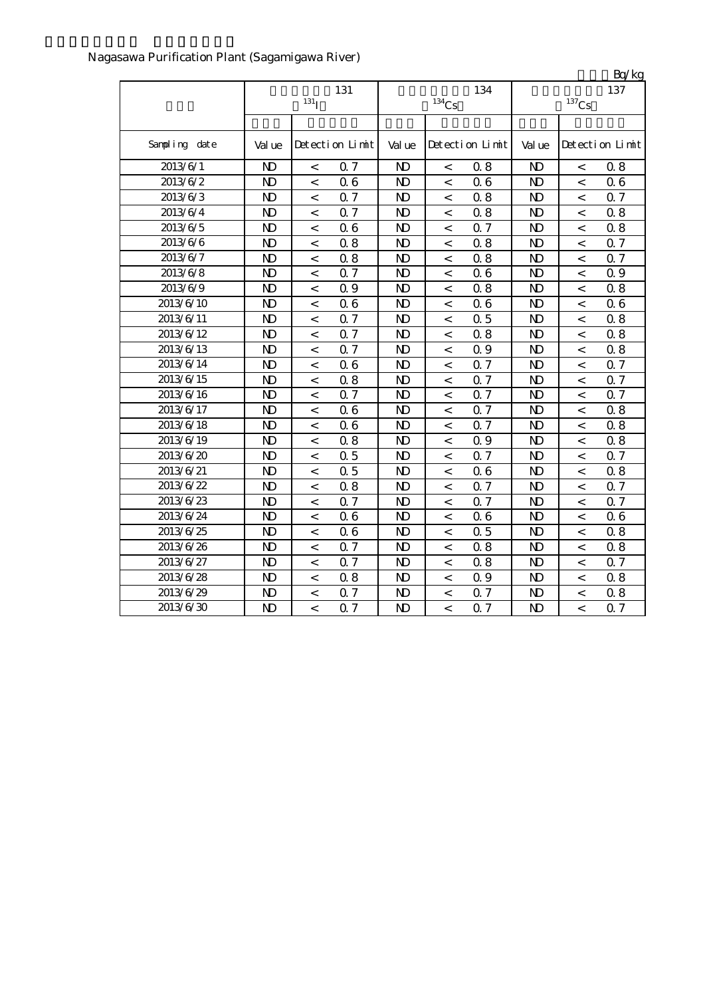|               |                         |                          |                 |                |                     |                 |                |                          | Bq/kg           |
|---------------|-------------------------|--------------------------|-----------------|----------------|---------------------|-----------------|----------------|--------------------------|-----------------|
|               | 131<br>131 <sub>l</sub> |                          |                 |                | $^{134}\mathrm{Cs}$ | 134             |                | 137                      |                 |
|               |                         |                          |                 |                |                     |                 |                | $^{137}\mathrm{Cs}$      |                 |
| Sampling date | Val ue                  |                          | Detection Limit | Val ue         |                     | Detection Limit | Val ue         |                          | Detection Limit |
| 2013/6/1      | N <sub>D</sub>          | $\,<\,$                  | 0.7             | $\mathbf{D}$   | $\,<$               | 0.8             | N <sub>D</sub> | $\,<\,$                  | 0.8             |
| 2013/6/2      | $\mathbf{N}$            | $\overline{\phantom{a}}$ | 06              | $\mathbf{D}$   | $\,<$               | 0.6             | N <sub>D</sub> | $\overline{<}$           | 06              |
| 2013/6/3      | $\mathbf{D}$            | $\,<$                    | Q 7             | $\mathbf{D}$   | $\,<$               | 0.8             | N <sub>D</sub> | $\lt$                    | 0.7             |
| 2013/6/4      | $\mathbf{D}$            | $\,<\,$                  | Q 7             | $\mathbf{D}$   | $\,<$               | 0.8             | N <sub>D</sub> | $\,<\,$                  | 0.8             |
| 2013/6/5      | $\mathbf{D}$            | $\,<\,$                  | 06              | N)             | $\,<$               | 0.7             | N <sub>D</sub> | $\,<\,$                  | 0.8             |
| 2013/6/6      | $\mathbf{D}$            | $\,<$                    | 0.8             | N)             | $\,<$               | 0.8             | N <sub>D</sub> | $\,<$                    | 0.7             |
| 2013/6/7      | N <sub>D</sub>          | $\,<\,$                  | 0.8             | $\mathbf{D}$   | $\,<$               | 0.8             | N <sub>D</sub> | $\,<\,$                  | 0.7             |
| 2013/6/8      | N <sub>D</sub>          | $\,<\,$                  | Q 7             | N <sub>D</sub> | $\,<\,$             | 0.6             | N <sub>D</sub> | $\,<\,$                  | 0.9             |
| 2013/6/9      | $\mathbf{D}$            | $\overline{\phantom{0}}$ | Q 9             | $\mathbf{N}$   | $\,<$               | 0.8             | N <sub>D</sub> | $\,<\,$                  | 0.8             |
| 2013/6/10     | $\mathbf{D}$            | $\,<\,$                  | 06              | $\mathbf{N}$   | $\,<$               | 0.6             | N <sub>D</sub> | $\,<\,$                  | 06              |
| 2013/6/11     | N <sub>D</sub>          | $\,<\,$                  | 0.7             | $\mathbf{D}$   | $\,<$               | 0.5             | N <sub>D</sub> | $\,<\,$                  | 0.8             |
| 2013/6/12     | N <sub>D</sub>          | $\,<\,$                  | Q 7             | $\mathbf{D}$   | $\,<$               | 0.8             | N <sub>D</sub> | $\,<\,$                  | 0.8             |
| 2013/6/13     | N <sub>D</sub>          | $\,<\,$                  | <b>Q7</b>       | $\mathbf{D}$   | $\,<$               | 0.9             | N <sub>D</sub> | $\prec$                  | 0.8             |
| 2013/6/14     | N <sub>D</sub>          | $\,<$                    | 06              | $\mathbf{D}$   | $\,<$               | 0.7             | N <sub>D</sub> | $\overline{\phantom{a}}$ | 0.7             |
| 2013/6/15     | N <sub>D</sub>          | $\,<\,$                  | 0.8             | $\mathbf{D}$   | $\,<\,$             | 0.7             | N <sub>D</sub> | $\overline{\phantom{a}}$ | 0.7             |
| 2013/6/16     | $\mathbf{D}$            | $\overline{\phantom{a}}$ | Q 7             | $\mathbf{D}$   | $\overline{<}$      | 0.7             | N <sub>D</sub> | $\overline{<}$           | 0.7             |
| 2013/6/17     | $\mathbf{D}$            | $\,<\,$                  | 06              | $\mathbf{D}$   | $\,<$               | 0.7             | $\mathbf{N}$   | $\,<\,$                  | 0.8             |
| 2013/6/18     | $\mathbf{D}$            | $\,<\,$                  | 06              | $\mathbf{D}$   | $\,<$               | 0.7             | N <sub>D</sub> | $\,<$                    | 0.8             |
| 2013/6/19     | N <sub>D</sub>          | $\,<\,$                  | 0.8             | $\mathbf{D}$   | $\,<$               | 0.9             | N <sub>D</sub> | $\,<\,$                  | 0.8             |
| 2013/6/20     | $\mathbf{D}$            | $\,<$                    | 0.5             | $\mathbf{D}$   | $\,<$               | 0.7             | N <sub>D</sub> | $\,<\,$                  | 0.7             |
| 2013/6/21     | $\mathbf{D}$            | $\,<\,$                  | 0.5             | $\mathbf{D}$   | $\,<$               | 0.6             | N <sub>D</sub> | $\prec$                  | 0.8             |
| 2013/6/22     | $\mathbf{D}$            | $\,<\,$                  | 0.8             | $\mathbf{D}$   | $\,<\,$             | 0.7             | N <sub>D</sub> | $\,<\,$                  | 0.7             |
| 2013/6/23     | $\mathbf{N}$            | $\,<\,$                  | 0.7             | N)             | $\,<$               | 0.7             | N <sub>D</sub> | $\,<\,$                  | 0.7             |
| 2013/6/24     | N <sub>D</sub>          | $\,<\,$                  | 06              | $\mathbf{D}$   | $\,<$               | 0.6             | N <sub>D</sub> | $\,<\,$                  | 06              |
| 2013/6/25     | N <sub>D</sub>          | $\,<\,$                  | 06              | $\mathbf{D}$   | $\,<$               | 0.5             | N <sub>D</sub> | $\,<$                    | 0.8             |
| 2013/6/26     | N <sub>D</sub>          | $\,<\,$                  | Q 7             | $\mathbf{D}$   | $\,<$               | 0.8             | N <sub>D</sub> | $\,<$                    | 0.8             |
| 2013/6/27     | N <sub>D</sub>          | $\,<\,$                  | Q 7             | $\mathbf{D}$   | $\,<$               | 0.8             | N <sub>D</sub> | $\,<\,$                  | Q 7             |
| 2013/6/28     | N <sub>D</sub>          | $\,<\,$                  | 0.8             | $\mathbf{D}$   | $\,<$               | 0.9             | N <sub>D</sub> | $\,<\,$                  | 0.8             |
| 2013/6/29     | N <sub>D</sub>          | $\,<\,$                  | Q 7             | $\mathbf{D}$   | $\,<\,$             | 0.7             | $\mathbf{N}$   | $\lt$                    | 0.8             |
| 2013/6/30     | $\mathbf{D}$            | $\lt$                    | 0.7             | ND             | $\lt$               | 0.7             | N <sub>D</sub> | $\lt$                    | 0.7             |

### Nagasawa Purification Plant (Sagamigawa River)